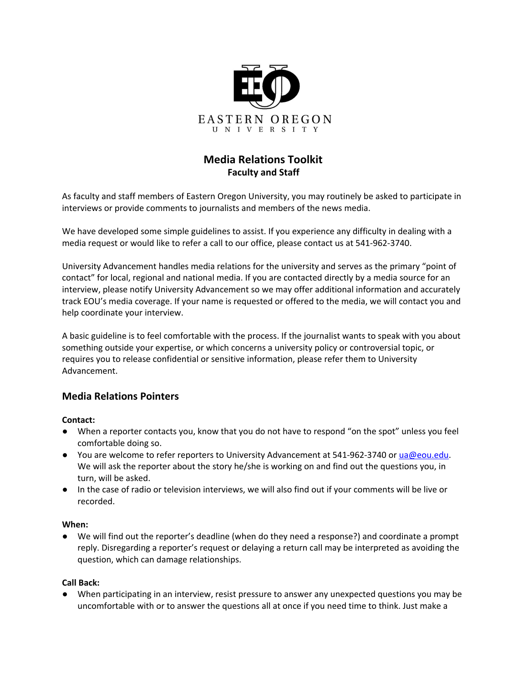

# **Media Relations Toolkit Faculty and Staff**

As faculty and staff members of Eastern Oregon University, you may routinely be asked to participate in interviews or provide comments to journalists and members of the news media.

We have developed some simple guidelines to assist. If you experience any difficulty in dealing with a media request or would like to refer a call to our office, please contact us at 541-962-3740.

University Advancement handles media relations for the university and serves as the primary "point of contact" for local, regional and national media. If you are contacted directly by a media source for an interview, please notify University Advancement so we may offer additional information and accurately track EOU's media coverage. If your name is requested or offered to the media, we will contact you and help coordinate your interview.

A basic guideline is to feel comfortable with the process. If the journalist wants to speak with you about something outside your expertise, or which concerns a university policy or controversial topic, or requires you to release confidential or sensitive information, please refer them to University Advancement.

# **Media Relations Pointers**

#### **Contact:**

- When a reporter contacts you, know that you do not have to respond "on the spot" unless you feel comfortable doing so.
- You are welcome to refer reporters to University Advancement at 541-962-3740 or [ua@eou.edu](mailto:ua@eou.edu). We will ask the reporter about the story he/she is working on and find out the questions you, in turn, will be asked.
- In the case of radio or television interviews, we will also find out if your comments will be live or recorded.

#### **When:**

We will find out the reporter's deadline (when do they need a response?) and coordinate a prompt reply. Disregarding a reporter's request or delaying a return call may be interpreted as avoiding the question, which can damage relationships.

#### **Call Back:**

● When participating in an interview, resist pressure to answer any unexpected questions you may be uncomfortable with or to answer the questions all at once if you need time to think. Just make a